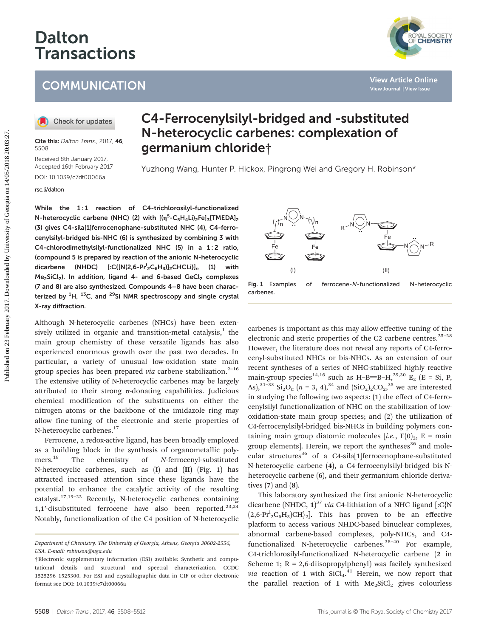# Dalton Transactions

## **COMMUNICATION**

Cite this: Dalton Trans., 2017, 46 5508

Received 8th January 2017, Accepted 16th February 2017 DOI: 10.1039/c7dt00066a [rsc.li/dalton](www.rsc.li/dalton)

## C4-Ferrocenylsilyl-bridged and -substituted N-heterocyclic carbenes: complexation of germanium chloride†

Yuzhong Wang, Hunter P. Hickox, Pingrong Wei and Gregory H. Robinson\*

While the 1:1 reaction of C4-trichlorosilyl-functionalized N-heterocyclic carbene (NHC) (2) with  $[(\eta^5\text{-}C_5H_4Li)_2Fe]_3[\text{TMEDA}]_2$ (3) gives C4-sila[1]ferrocenophane-substituted NHC (4), C4-ferrocenylsilyl-bridged bis-NHC (6) is synthesized by combining 3 with C4-chlorodimethylsilyl-functionalized NHC (5) in a 1:2 ratio, (compound 5 is prepared by reaction of the anionic N-heterocyclic dicarbene (NHDC) [:C{[N(2,6-Pr<sup>i</sup><sub>2</sub>C<sub>6</sub>H<sub>3</sub>)]<sub>2</sub>CHCLi}]<sub>n</sub> (1) with  $Me<sub>2</sub>SiCl<sub>2</sub>$ ). In addition, ligand 4- and 6-based GeCl<sub>2</sub> complexes (7 and 8) are also synthesized. Compounds 4–8 have been characterized by <sup>1</sup>H, <sup>13</sup>C, and <sup>29</sup>Si NMR spectroscopy and single crystal X-ray diffraction. **COMMUNICATION**<br> **CO** Check for undates<br> **CO** Check for undates<br> **CO** Check for undates<br> **CO** Check for undates<br> **CO Content Columbiation**<br> **CO Content Columbiation**<br> **CO Content Columbiation**<br> **CO Content Columbi** 

Although N-heterocyclic carbenes (NHCs) have been extensively utilized in organic and transition-metal catalysis, $<sup>1</sup>$  the</sup> main group chemistry of these versatile ligands has also experienced enormous growth over the past two decades. In particular, a variety of unusual low-oxidation state main group species has been prepared via carbene stabilization.<sup>2-16</sup> The extensive utility of N-heterocyclic carbenes may be largely attributed to their strong σ-donating capabilities. Judicious chemical modification of the substituents on either the nitrogen atoms or the backbone of the imidazole ring may allow fine-tuning of the electronic and steric properties of N-heterocyclic carbenes.17

Ferrocene, a redox-active ligand, has been broadly employed as a building block in the synthesis of organometallic polymers.<sup>18</sup> The chemistry of N-ferrocenyl-substituted N-heterocyclic carbenes, such as (I) and (II) (Fig. 1) has attracted increased attention since these ligands have the potential to enhance the catalytic activity of the resulting catalyst.<sup>17,19-22</sup> Recently, N-heterocyclic carbenes containing 1,1'-disubstituted ferrocene have also been reported.<sup>23,24</sup> Notably, functionalization of the C4 position of N-heterocyclic



carbenes.

carbenes is important as this may allow effective tuning of the electronic and steric properties of the C2 carbene centres. $25-28$ However, the literature does not reveal any reports of C4-ferrocenyl-substituted NHCs or bis-NHCs. As an extension of our recent syntheses of a series of NHC-stabilized highly reactive main-group species<sup>14,16</sup> such as H–B=B–H,<sup>29,30</sup> E<sub>2</sub> (E = Si, P, As),<sup>31–33</sup> Si<sub>2</sub>O<sub>n</sub> (n = 3, 4),<sup>34</sup> and (SiO<sub>2</sub>)<sub>2</sub>CO<sub>2</sub>,<sup>35</sup> we are interested in studying the following two aspects: (1) the effect of C4-ferrocenylsilyl functionalization of NHC on the stabilization of lowoxidation-state main group species; and (2) the utilization of C4-ferrocenylsilyl-bridged bis-NHCs in building polymers containing main group diatomic molecules [i.e.,  $E(0)_2$ , E = main group elements]. Herein, we report the syntheses<sup>36</sup> and molecular structures<sup>36</sup> of a C4-sila<sup>[1]</sup> ferrocenophane-substituted N-heterocyclic carbene (4), a C4-ferrocenylsilyl-bridged bis-Nheterocyclic carbene (6), and their germanium chloride derivatives (7) and (8).

This laboratory synthesized the first anionic N-heterocyclic dicarbene (NHDC,  $1$ )<sup>37</sup> via C4-lithiation of a NHC ligand [:C{N  $(2,6\text{-}Pr_2^iC_6H_3)CH_2^i$ . This has proven to be an effective platform to access various NHDC-based binuclear complexes, abnormal carbene-based complexes, poly-NHCs, and C4 functionalized N-heterocyclic carbenes.<sup>38-40</sup> For example, C4-trichlorosilyl-functionalized N-heterocyclic carbene (2 in Scheme 1;  $R = 2,6$ -diisopropylphenyl) was facilely synthesized *via* reaction of 1 with  $SiCl<sub>4</sub>.<sup>41</sup>$  Herein, we now report that the parallel reaction of 1 with  $Me<sub>2</sub>SiCl<sub>2</sub>$  gives colourless

Department of Chemistry, The University of Georgia, Athens, Georgia 30602-2556, USA. E-mail: robinson@uga.edu

<sup>†</sup>Electronic supplementary information (ESI) available: Synthetic and computational details and structural and spectral characterization. CCDC 1525296–1525300. For ESI and crystallographic data in CIF or other electronic format see DOI: 10.1039/c7dt00066a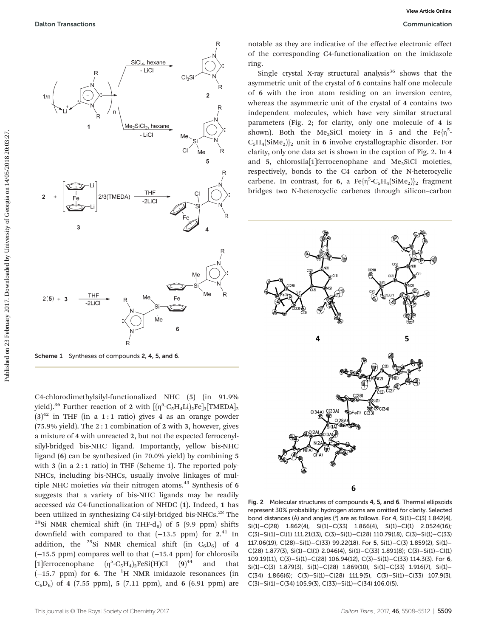

Scheme 1 Syntheses of compounds 2, 4, 5, and 6.

C4-chlorodimethylsilyl-functionalized NHC (5) (in 91.9% yield). $^{36}$  Further reaction of 2 with  $[[\mathfrak{h}^5\text{-} \mathrm{C}_5\mathrm{H}_4\mathrm{Li})_2\mathrm{Fe}]_3[\text{TMEDA}]_2$  $(3)^{42}$  in THF (in a 1:1 ratio) gives 4 as an orange powder (75.9% yield). The 2 : 1 combination of 2 with 3, however, gives a mixture of 4 with unreacted 2, but not the expected ferrocenylsilyl-bridged bis-NHC ligand. Importantly, yellow bis-NHC ligand (6) can be synthesized (in 70.0% yield) by combining 5 with 3 (in a 2 : 1 ratio) in THF (Scheme 1). The reported poly-NHCs, including bis-NHCs, usually involve linkages of multiple NHC moieties via their nitrogen atoms. $43$  Synthesis of 6 suggests that a variety of bis-NHC ligands may be readily accessed via C4-functionalization of NHDC (1). Indeed, 1 has been utilized in synthesizing C4-silyl-bridged bis-NHCs.<sup>28</sup> The <sup>29</sup>Si NMR chemical shift (in THF-d<sub>8</sub>) of 5 (9.9 ppm) shifts downfield with compared to that  $(-13.5$  ppm) for  $2.^{41}$  In addition, the <sup>29</sup>Si NMR chemical shift (in  $C_6D_6$ ) of 4 (−15.5 ppm) compares well to that (−15.4 ppm) for chlorosila [1] ferrocenophane  $(\eta^5$ -C<sub>5</sub>H<sub>4</sub>)<sub>2</sub>FeSi(H)Cl (9) and that  $(-15.7$  ppm) for 6. The  $1H$  NMR imidazole resonances (in  $C_6D_6$ ) of 4 (7.55 ppm), 5 (7.11 ppm), and 6 (6.91 ppm) are

notable as they are indicative of the effective electronic effect of the corresponding C4-functionalization on the imidazole ring.

Single crystal X-ray structural analysis<sup>36</sup> shows that the asymmetric unit of the crystal of 6 contains half one molecule of 6 with the iron atom residing on an inversion centre, whereas the asymmetric unit of the crystal of 4 contains two independent molecules, which have very similar structural parameters (Fig. 2; for clarity, only one molecule of 4 is shown). Both the Me<sub>2</sub>SiCl moiety in 5 and the Fe $\{ \eta^5 \cdot$  $C_5H_4(SiMe_2)$ <sub>2</sub> unit in 6 involve crystallographic disorder. For clarity, only one data set is shown in the caption of Fig. 2. In 4 and 5, chlorosila[1]ferrocenophane and Me<sub>2</sub>SiCl moieties, respectively, bonds to the C4 carbon of the N-heterocyclic carbene. In contrast, for 6, a  $\text{Fe}\{\eta^5\text{-}C_5H_4(SiMe_2)\}_2$  fragment bridges two N-heterocyclic carbenes through silicon–carbon



Fig. 2 Molecular structures of compounds 4, 5, and 6. Thermal ellipsoids represent 30% probability: hydrogen atoms are omitted for clarity. Selected bond distances (Å) and angles (°) are as follows. For 4, Si(1)–C(3) 1.842(4),  $Si(1)-C(28)$  1.862(4),  $Si(1)-C(33)$  1.866(4),  $Si(1)-Cl(1)$  2.0524(16); C(3)–Si(1)–Cl(1) 111.21(13), C(3)–Si(1)–C(28) 110.79(18), C(3)–Si(1)–C(33) 117.06(19), C(28)–Si(1)–C(33) 99.22(18). For 5, Si(1)–C(3) 1.859(2), Si(1)– C(28) 1.877(3), Si(1)–Cl(1) 2.046(4), Si(1)–C(33) 1.891(8); C(3)–Si(1)–Cl(1) 109.19(11), C(3)–Si(1)–C(28) 106.94(12), C(3)–Si(1)–C(33) 114.3(3). For 6, Si(1)–C(3) 1.879(3), Si(1)–C(28) 1.869(10), Si(1)–C(33) 1.916(7), Si(1)–  $C(34)$  1.866(6);  $C(3)-Si(1)-C(28)$  111.9(5),  $C(3)-Si(1)-C(33)$  107.9(3),  $C(3)-Si(1)-C(34)$  105.9(3),  $C(33)-Si(1)-C(34)$  106.0(5).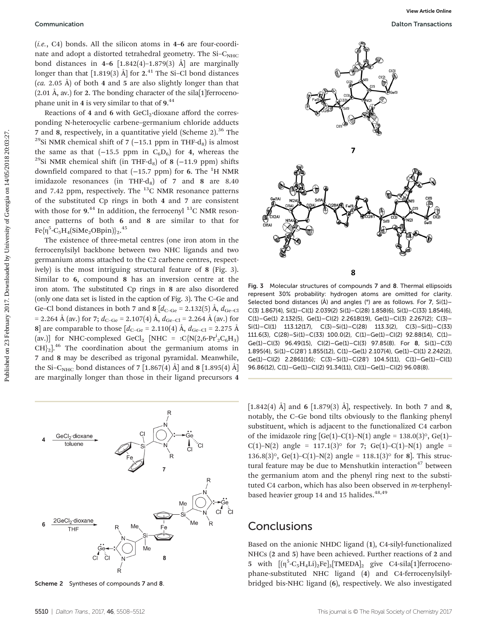(i.e., C4) bonds. All the silicon atoms in 4–6 are four-coordinate and adopt a distorted tetrahedral geometry. The  $Si-C<sub>NHC</sub>$ bond distances in 4–6  $[1.842(4)-1.879(3)$  Å are marginally longer than that  $[1.819(3)$  Å] for  $2.^{41}$  The Si–Cl bond distances  $(ca. 2.05 \text{ Å}$  of both 4 and 5 are also slightly longer than that  $(2.01 \text{ Å}, \text{av.})$  for 2. The bonding character of the sila<sup>[1]</sup> ferrocenophane unit in 4 is very similar to that of 9.<sup>44</sup>

Reactions of 4 and 6 with  $GeCl<sub>2</sub>$ -dioxane afford the corresponding N-heterocyclic carbene–germanium chloride adducts 7 and 8, respectively, in a quantitative yield (Scheme 2). $36$  The <sup>29</sup>Si NMR chemical shift of 7 (−15.1 ppm in THF-d<sub>8</sub>) is almost the same as that (−15.5 ppm in  $C_6D_6$ ) for 4, whereas the <sup>29</sup>Si NMR chemical shift (in THF-d<sub>8</sub>) of 8 (−11.9 ppm) shifts downfield compared to that  $(-15.7$  ppm) for 6. The  $^{1}$ H NMR imidazole resonances (in THF-d<sub>8</sub>) of 7 and 8 are  $8.40$ and 7.42 ppm, respectively. The  $^{13}$ C NMR resonance patterns of the substituted Cp rings in both 4 and 7 are consistent with those for  $9.^{44}$  In addition, the ferrocenyl  $^{13}$ C NMR resonance patterns of both 6 and 8 are similar to that for  $\rm Fe\{\eta^5\text{-}C_5H_4(SiMe_2OBpin)\}_{2}.^{45}$ 

The existence of three-metal centres (one iron atom in the ferrocenylsilyl backbone between two NHC ligands and two germanium atoms attached to the C2 carbene centres, respectively) is the most intriguing structural feature of 8 (Fig. 3). Similar to 6, compound 8 has an inversion centre at the iron atom. The substituted Cp rings in 8 are also disordered (only one data set is listed in the caption of Fig. 3). The C–Ge and Ge–Cl bond distances in both 7 and 8  $[d_{C-Ge} = 2.132(5)$  Å,  $d_{Ge-Cl}$ = 2.264 Å (av.) for 7;  $d_{C-Ge}$  = 2.107(4) Å,  $d_{Ge-Cl}$  = 2.264 Å (av.) for 8] are comparable to those  $[d_{C-Ge} = 2.110(4)$  Å,  $d_{Ge-Cl} = 2.275$  Å (av.)] for NHC-complexed GeCl<sub>2</sub> [NHC = :C{N(2,6-Pr<sup>i</sup><sub>2</sub>C<sub>6</sub>H<sub>3</sub>)  $CH<sub>2</sub>$ <sup>46</sup> The coordination about the germanium atoms in 7 and 8 may be described as trigonal pyramidal. Meanwhile, the Si–C<sub>NHC</sub> bond distances of 7 [1.867(4) Å] and 8 [1.895(4) Å] are marginally longer than those in their ligand precursors 4





Fig. 3 Molecular structures of compounds 7 and 8. Thermal ellipsoids represent 30% probability: hydrogen atoms are omitted for clarity. Selected bond distances (Å) and angles (°) are as follows. For 7, Si(1)–  $C(3)$  1.867(4), Si(1)– $C(1)$  2.039(2) Si(1)– $C(28)$  1.858(6), Si(1)– $C(33)$  1.854(6), C(1)–Ge(1) 2.132(5), Ge(1)–Cl(2) 2.2618(19), Ge(1)–Cl(3) 2.267(2); C(3)– Si(1)–Cl(1) 113.12(17), C(3)–Si(1)–C(28) 113.3(2), C(3)–Si(1)–C(33) 111.6(3), C(28)–Si(1)–C(33) 100.0(2), C(1)–Ge(1)–Cl(2) 92.88(14), C(1)– Ge(1)–Cl(3) 96.49(15), Cl(2)–Ge(1)–Cl(3) 97.85(8). For 8, Si(1)–C(3) 1.895(4), Si(1)–C(28') 1.855(12), C(1)–Ge(1) 2.107(4), Ge(1)–Cl(1) 2.242(2), Ge(1)–Cl(2) 2.2861(16); C(3)–Si(1)–C(28') 104.5(11), C(1)–Ge(1)–Cl(1) 96.86(12), C(1)–Ge(1)–Cl(2) 91.34(11), Cl(1)–Ge(1)–Cl(2) 96.08(8).



[1.842(4) Å] and 6 [1.879(3) Å], respectively. In both 7 and 8, notably, the C–Ge bond tilts obviously to the flanking phenyl substituent, which is adjacent to the functionalized C4 carbon of the imidazole ring  $[Ge(1)-C(1)-N(1)$  angle = 138.0(3)°,  $Ge(1)$ – C(1)–N(2) angle = 117.1(3)° for 7; Ge(1)–C(1)–N(1) angle = 136.8(3)°, Ge(1)–C(1)–N(2) angle = 118.1(3)° for 8]. This structural feature may be due to Menshutkin interaction<sup>47</sup> between the germanium atom and the phenyl ring next to the substituted C4 carbon, which has also been observed in *m*-terphenylbased heavier group 14 and 15 halides. $48,49$ 

#### **Conclusions**

Based on the anionic NHDC ligand (1), C4-silyl-functionalized NHCs (2 and 5) have been achieved. Further reactions of 2 and 5 with  $[(\eta^5-C_5H_4Li)_2Fe]_3[TMEDA]_2$  give C4-sila[1]ferrocenophane-substituted NHC ligand (4) and C4-ferrocenylsilyl-Scheme 2 Syntheses of compounds 7 and 8. bridged bis-NHC ligand (6), respectively. We also investigated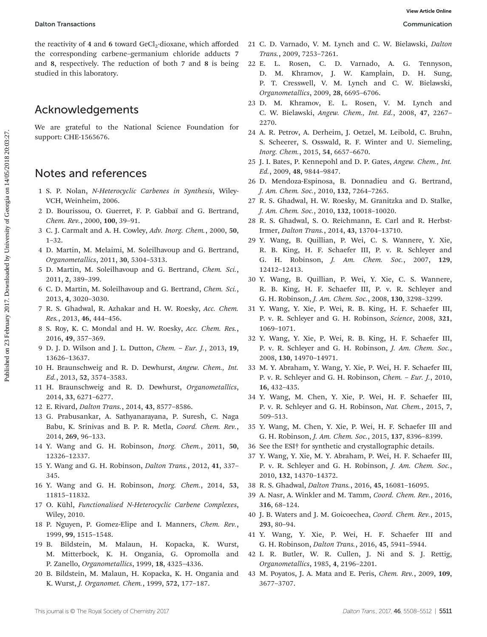the reactivity of 4 and 6 toward  $GeCl<sub>2</sub>$ -dioxane, which afforded the corresponding carbene–germanium chloride adducts 7 and 8, respectively. The reduction of both 7 and 8 is being studied in this laboratory. Published on 23 February 2017. Downloaded by University of Georgia on 14/05/2018 20:03:27. **[View Article Online](http://dx.doi.org/10.1039/c7dt00066a)**

### Acknowledgements

We are grateful to the National Science Foundation for support: CHE-1565676.

### Notes and references

- 1 S. P. Nolan, N-Heterocyclic Carbenes in Synthesis, Wiley-VCH, Weinheim, 2006.
- 2 D. Bourissou, O. Guerret, F. P. Gabbaï and G. Bertrand, Chem. Rev., 2000, 100, 39–91.
- 3 C. J. Carmalt and A. H. Cowley, Adv. Inorg. Chem., 2000, 50, 1–32.
- 4 D. Martin, M. Melaimi, M. Soleilhavoup and G. Bertrand, Organometallics, 2011, 30, 5304–5313.
- 5 D. Martin, M. Soleilhavoup and G. Bertrand, Chem. Sci., 2011, 2, 389–399.
- 6 C. D. Martin, M. Soleilhavoup and G. Bertrand, Chem. Sci., 2013, 4, 3020–3030.
- 7 R. S. Ghadwal, R. Azhakar and H. W. Roesky, Acc. Chem. Res., 2013, 46, 444–456.
- 8 S. Roy, K. C. Mondal and H. W. Roesky, Acc. Chem. Res., 2016, 49, 357–369.
- 9 D. J. D. Wilson and J. L. Dutton, Chem. Eur. J., 2013, 19, 13626–13637.
- 10 H. Braunschweig and R. D. Dewhurst, Angew. Chem., Int. Ed., 2013, 52, 3574–3583.
- 11 H. Braunschweig and R. D. Dewhurst, Organometallics, 2014, 33, 6271–6277.
- 12 E. Rivard, Dalton Trans., 2014, 43, 8577–8586.
- 13 G. Prabusankar, A. Sathyanarayana, P. Suresh, C. Naga Babu, K. Srinivas and B. P. R. Metla, Coord. Chem. Rev., 2014, 269, 96–133.
- 14 Y. Wang and G. H. Robinson, Inorg. Chem., 2011, 50, 12326–12337.
- 15 Y. Wang and G. H. Robinson, Dalton Trans., 2012, 41, 337– 345.
- 16 Y. Wang and G. H. Robinson, Inorg. Chem., 2014, 53, 11815–11832.
- 17 O. Kühl, Functionalised N-Heterocyclic Carbene Complexes, Wiley, 2010.
- 18 P. Nguyen, P. Gomez-Elipe and I. Manners, Chem. Rev., 1999, 99, 1515–1548.
- 19 B. Bildstein, M. Malaun, H. Kopacka, K. Wurst, M. Mitterbock, K. H. Ongania, G. Opromolla and P. Zanello, Organometallics, 1999, 18, 4325–4336.
- 20 B. Bildstein, M. Malaun, H. Kopacka, K. H. Ongania and K. Wurst, J. Organomet. Chem., 1999, 572, 177–187.
- 21 C. D. Varnado, V. M. Lynch and C. W. Bielawski, Dalton Trans., 2009, 7253–7261.
- 22 E. L. Rosen, C. D. Varnado, A. G. Tennyson, D. M. Khramov, J. W. Kamplain, D. H. Sung, P. T. Cresswell, V. M. Lynch and C. W. Bielawski, Organometallics, 2009, 28, 6695–6706.
- 23 D. M. Khramov, E. L. Rosen, V. M. Lynch and C. W. Bielawski, Angew. Chem., Int. Ed., 2008, 47, 2267– 2270.
- 24 A. R. Petrov, A. Derheim, J. Oetzel, M. Leibold, C. Bruhn, S. Scheerer, S. Osswald, R. F. Winter and U. Siemeling, Inorg. Chem., 2015, 54, 6657–6670.
- 25 J. I. Bates, P. Kennepohl and D. P. Gates, Angew. Chem., Int. Ed., 2009, 48, 9844–9847.
- 26 D. Mendoza-Espinosa, B. Donnadieu and G. Bertrand, J. Am. Chem. Soc., 2010, 132, 7264–7265.
- 27 R. S. Ghadwal, H. W. Roesky, M. Granitzka and D. Stalke, J. Am. Chem. Soc., 2010, 132, 10018–10020.
- 28 R. S. Ghadwal, S. O. Reichmann, E. Carl and R. Herbst-Irmer, Dalton Trans., 2014, 43, 13704–13710.
- 29 Y. Wang, B. Quillian, P. Wei, C. S. Wannere, Y. Xie, R. B. King, H. F. Schaefer III, P. v. R. Schleyer and G. H. Robinson, J. Am. Chem. Soc., 2007, 129, 12412–12413.
- 30 Y. Wang, B. Quillian, P. Wei, Y. Xie, C. S. Wannere, R. B. King, H. F. Schaefer III, P. v. R. Schleyer and G. H. Robinson, J. Am. Chem. Soc., 2008, 130, 3298–3299.
- 31 Y. Wang, Y. Xie, P. Wei, R. B. King, H. F. Schaefer III, P. v. R. Schleyer and G. H. Robinson, Science, 2008, 321, 1069–1071.
- 32 Y. Wang, Y. Xie, P. Wei, R. B. King, H. F. Schaefer III, P. v. R. Schleyer and G. H. Robinson, J. Am. Chem. Soc., 2008, 130, 14970–14971.
- 33 M. Y. Abraham, Y. Wang, Y. Xie, P. Wei, H. F. Schaefer III, P. v. R. Schleyer and G. H. Robinson, Chem. – Eur. J., 2010, 16, 432–435.
- 34 Y. Wang, M. Chen, Y. Xie, P. Wei, H. F. Schaefer III, P. v. R. Schleyer and G. H. Robinson, Nat. Chem., 2015, 7, 509–513.
- 35 Y. Wang, M. Chen, Y. Xie, P. Wei, H. F. Schaefer III and G. H. Robinson, J. Am. Chem. Soc., 2015, 137, 8396–8399.
- 36 See the ESI† for synthetic and crystallographic details.
- 37 Y. Wang, Y. Xie, M. Y. Abraham, P. Wei, H. F. Schaefer III, P. v. R. Schleyer and G. H. Robinson, J. Am. Chem. Soc., 2010, 132, 14370–14372.
- 38 R. S. Ghadwal, Dalton Trans., 2016, 45, 16081–16095.
- 39 A. Nasr, A. Winkler and M. Tamm, Coord. Chem. Rev., 2016, 316, 68–124.
- 40 J. B. Waters and J. M. Goicoechea, Coord. Chem. Rev., 2015, 293, 80–94.
- 41 Y. Wang, Y. Xie, P. Wei, H. F. Schaefer III and G. H. Robinson, Dalton Trans., 2016, 45, 5941–5944.
- 42 I. R. Butler, W. R. Cullen, J. Ni and S. J. Rettig, Organometallics, 1985, 4, 2196–2201.
- 43 M. Poyatos, J. A. Mata and E. Peris, Chem. Rev., 2009, 109, 3677–3707.